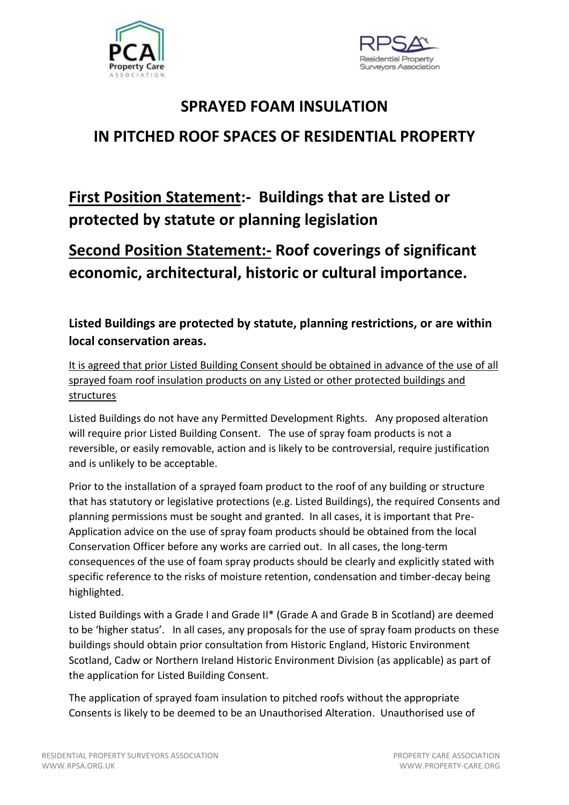



# **SPRAYED FOAM INSULATION IN PITCHED ROOF SPACES OF RESIDENTIAL PROPERTY**

## **First Position Statement:- Buildings that are Listed or protected by statute or planning legislation**

## **Second Position Statement:- Roof coverings of significant economic, architectural, historic or cultural importance.**

### **Listed Buildings are protected by statute, planning restrictions, or are within local conservation areas.**

It is agreed that prior Listed Building Consent should be obtained in advance of the use of all sprayed foam roof insulation products on any Listed or other protected buildings and structures

Listed Buildings do not have any Permitted Development Rights. Any proposed alteration will require prior Listed Building Consent. The use of spray foam products is not a reversible, or easily removable, action and is likely to be controversial, require justification and is unlikely to be acceptable.

Prior to the installation of a sprayed foam product to the roof of any building or structure that has statutory or legislative protections (e.g. Listed Buildings), the required Consents and planning permissions must be sought and granted. In all cases, it is important that Pre-Application advice on the use of spray foam products should be obtained from the local Conservation Officer before any works are carried out. In all cases, the long-term consequences of the use of foam spray products should be clearly and explicitly stated with specific reference to the risks of moisture retention, condensation and timber-decay being highlighted.

Listed Buildings with a Grade I and Grade II\* (Grade A and Grade B in Scotland) are deemed to be 'higher status'. In all cases, any proposals for the use of spray foam products on these buildings should obtain prior consultation from Historic England, Historic Environment Scotland, Cadw or Northern Ireland Historic Environment Division (as applicable) as part of the application for Listed Building Consent.

The application of sprayed foam insulation to pitched roofs without the appropriate Consents is likely to be deemed to be an Unauthorised Alteration. Unauthorised use of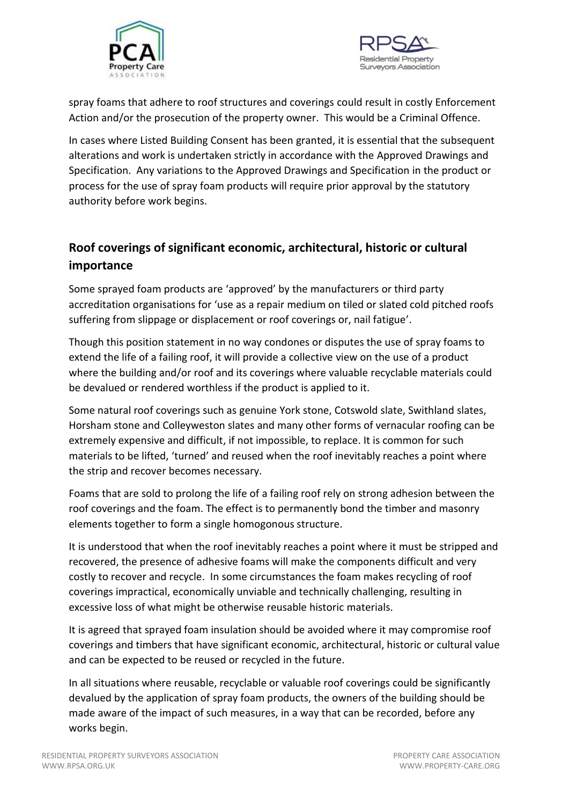



spray foams that adhere to roof structures and coverings could result in costly Enforcement Action and/or the prosecution of the property owner. This would be a Criminal Offence.

In cases where Listed Building Consent has been granted, it is essential that the subsequent alterations and work is undertaken strictly in accordance with the Approved Drawings and Specification. Any variations to the Approved Drawings and Specification in the product or process for the use of spray foam products will require prior approval by the statutory authority before work begins.

#### **Roof coverings of significant economic, architectural, historic or cultural importance**

Some sprayed foam products are 'approved' by the manufacturers or third party accreditation organisations for 'use as a repair medium on tiled or slated cold pitched roofs suffering from slippage or displacement or roof coverings or, nail fatigue'.

Though this position statement in no way condones or disputes the use of spray foams to extend the life of a failing roof, it will provide a collective view on the use of a product where the building and/or roof and its coverings where valuable recyclable materials could be devalued or rendered worthless if the product is applied to it.

Some natural roof coverings such as genuine York stone, Cotswold slate, Swithland slates, Horsham stone and Colleyweston slates and many other forms of vernacular roofing can be extremely expensive and difficult, if not impossible, to replace. It is common for such materials to be lifted, 'turned' and reused when the roof inevitably reaches a point where the strip and recover becomes necessary.

Foams that are sold to prolong the life of a failing roof rely on strong adhesion between the roof coverings and the foam. The effect is to permanently bond the timber and masonry elements together to form a single homogonous structure.

It is understood that when the roof inevitably reaches a point where it must be stripped and recovered, the presence of adhesive foams will make the components difficult and very costly to recover and recycle. In some circumstances the foam makes recycling of roof coverings impractical, economically unviable and technically challenging, resulting in excessive loss of what might be otherwise reusable historic materials.

It is agreed that sprayed foam insulation should be avoided where it may compromise roof coverings and timbers that have significant economic, architectural, historic or cultural value and can be expected to be reused or recycled in the future.

In all situations where reusable, recyclable or valuable roof coverings could be significantly devalued by the application of spray foam products, the owners of the building should be made aware of the impact of such measures, in a way that can be recorded, before any works begin.